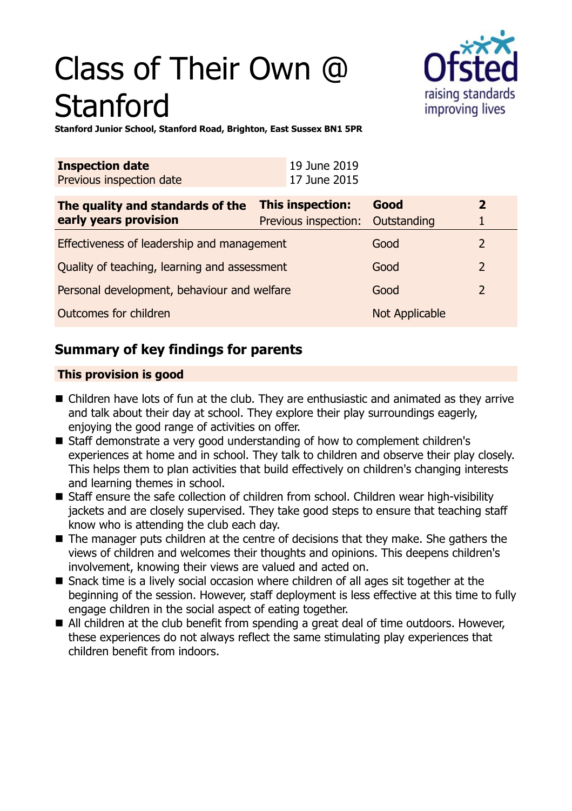# Class of Their Own @ **Stanford**



**Stanford Junior School, Stanford Road, Brighton, East Sussex BN1 5PR**

| <b>Inspection date</b><br>Previous inspection date        | 19 June 2019<br>17 June 2015                                |                       |                |
|-----------------------------------------------------------|-------------------------------------------------------------|-----------------------|----------------|
| The quality and standards of the<br>early years provision | <b>This inspection:</b><br>Previous inspection: Outstanding | Good                  | $\mathbf{2}$   |
| Effectiveness of leadership and management                |                                                             | Good                  | 2              |
| Quality of teaching, learning and assessment              |                                                             | Good                  | $\overline{2}$ |
| Personal development, behaviour and welfare               |                                                             | Good                  | $\overline{2}$ |
| Outcomes for children                                     |                                                             | <b>Not Applicable</b> |                |

# **Summary of key findings for parents**

# **This provision is good**

- $\blacksquare$  Children have lots of fun at the club. They are enthusiastic and animated as they arrive and talk about their day at school. They explore their play surroundings eagerly, enjoying the good range of activities on offer.
- Staff demonstrate a very good understanding of how to complement children's experiences at home and in school. They talk to children and observe their play closely. This helps them to plan activities that build effectively on children's changing interests and learning themes in school.
- Staff ensure the safe collection of children from school. Children wear high-visibility jackets and are closely supervised. They take good steps to ensure that teaching staff know who is attending the club each day.
- $\blacksquare$  The manager puts children at the centre of decisions that they make. She gathers the views of children and welcomes their thoughts and opinions. This deepens children's involvement, knowing their views are valued and acted on.
- Snack time is a lively social occasion where children of all ages sit together at the beginning of the session. However, staff deployment is less effective at this time to fully engage children in the social aspect of eating together.
- All children at the club benefit from spending a great deal of time outdoors. However, these experiences do not always reflect the same stimulating play experiences that children benefit from indoors.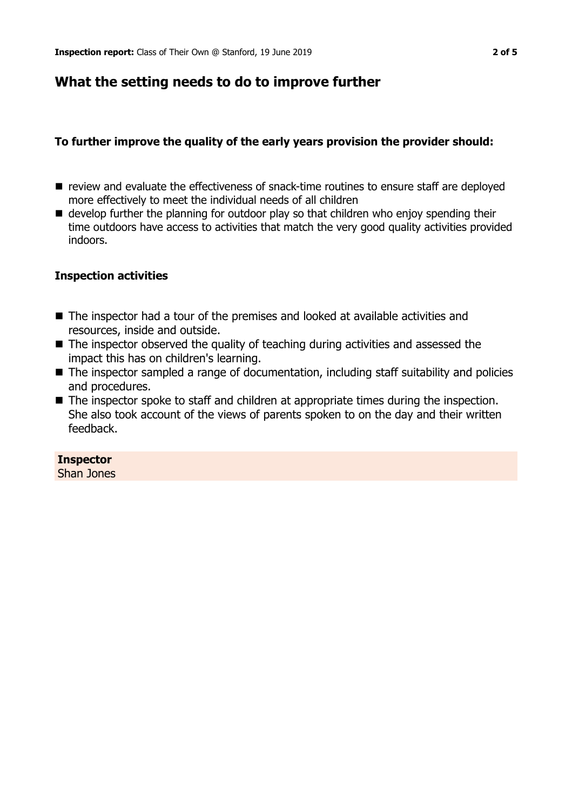# **What the setting needs to do to improve further**

## **To further improve the quality of the early years provision the provider should:**

- review and evaluate the effectiveness of snack-time routines to ensure staff are deployed more effectively to meet the individual needs of all children
- $\blacksquare$  develop further the planning for outdoor play so that children who enjoy spending their time outdoors have access to activities that match the very good quality activities provided indoors.

### **Inspection activities**

- $\blacksquare$  The inspector had a tour of the premises and looked at available activities and resources, inside and outside.
- $\blacksquare$  The inspector observed the quality of teaching during activities and assessed the impact this has on children's learning.
- The inspector sampled a range of documentation, including staff suitability and policies and procedures.
- $\blacksquare$  The inspector spoke to staff and children at appropriate times during the inspection. She also took account of the views of parents spoken to on the day and their written feedback.

#### **Inspector** Shan Jones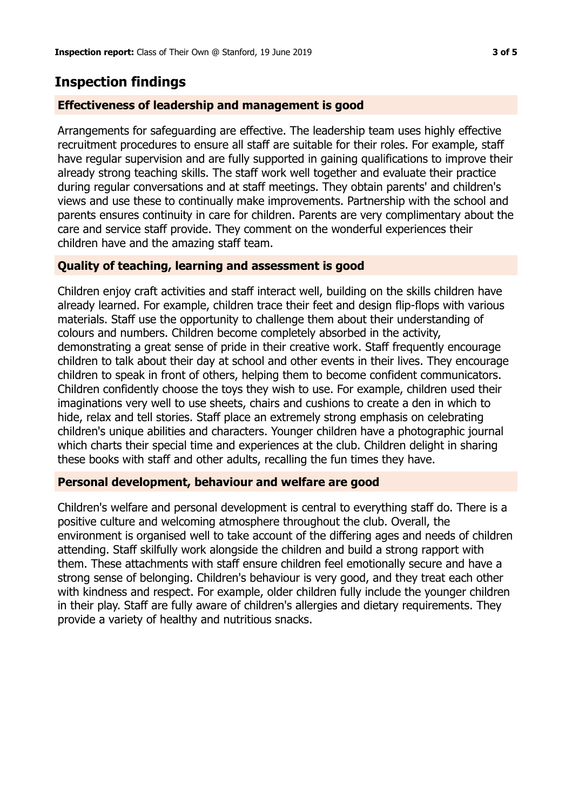# **Inspection findings**

## **Effectiveness of leadership and management is good**

Arrangements for safeguarding are effective. The leadership team uses highly effective recruitment procedures to ensure all staff are suitable for their roles. For example, staff have regular supervision and are fully supported in gaining qualifications to improve their already strong teaching skills. The staff work well together and evaluate their practice during regular conversations and at staff meetings. They obtain parents' and children's views and use these to continually make improvements. Partnership with the school and parents ensures continuity in care for children. Parents are very complimentary about the care and service staff provide. They comment on the wonderful experiences their children have and the amazing staff team.

## **Quality of teaching, learning and assessment is good**

Children enjoy craft activities and staff interact well, building on the skills children have already learned. For example, children trace their feet and design flip-flops with various materials. Staff use the opportunity to challenge them about their understanding of colours and numbers. Children become completely absorbed in the activity, demonstrating a great sense of pride in their creative work. Staff frequently encourage children to talk about their day at school and other events in their lives. They encourage children to speak in front of others, helping them to become confident communicators. Children confidently choose the toys they wish to use. For example, children used their imaginations very well to use sheets, chairs and cushions to create a den in which to hide, relax and tell stories. Staff place an extremely strong emphasis on celebrating children's unique abilities and characters. Younger children have a photographic journal which charts their special time and experiences at the club. Children delight in sharing these books with staff and other adults, recalling the fun times they have.

## **Personal development, behaviour and welfare are good**

Children's welfare and personal development is central to everything staff do. There is a positive culture and welcoming atmosphere throughout the club. Overall, the environment is organised well to take account of the differing ages and needs of children attending. Staff skilfully work alongside the children and build a strong rapport with them. These attachments with staff ensure children feel emotionally secure and have a strong sense of belonging. Children's behaviour is very good, and they treat each other with kindness and respect. For example, older children fully include the younger children in their play. Staff are fully aware of children's allergies and dietary requirements. They provide a variety of healthy and nutritious snacks.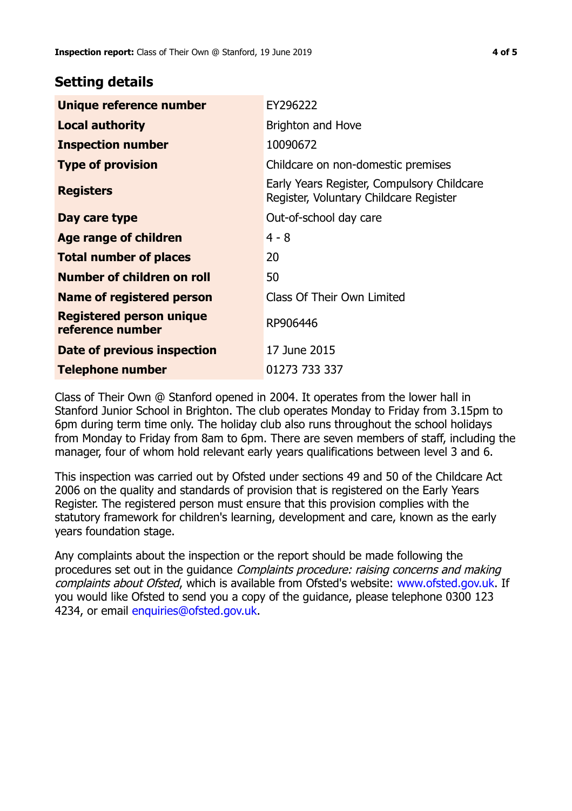# **Setting details**

| Unique reference number                             | EY296222                                                                             |  |
|-----------------------------------------------------|--------------------------------------------------------------------------------------|--|
| <b>Local authority</b>                              | <b>Brighton and Hove</b>                                                             |  |
| <b>Inspection number</b>                            | 10090672                                                                             |  |
| <b>Type of provision</b>                            | Childcare on non-domestic premises                                                   |  |
| <b>Registers</b>                                    | Early Years Register, Compulsory Childcare<br>Register, Voluntary Childcare Register |  |
| Day care type                                       | Out-of-school day care                                                               |  |
| Age range of children                               | $4 - 8$                                                                              |  |
| <b>Total number of places</b>                       | 20                                                                                   |  |
| Number of children on roll                          | 50                                                                                   |  |
| Name of registered person                           | Class Of Their Own Limited                                                           |  |
| <b>Registered person unique</b><br>reference number | RP906446                                                                             |  |
| Date of previous inspection                         | 17 June 2015                                                                         |  |
| <b>Telephone number</b>                             | 01273 733 337                                                                        |  |

Class of Their Own @ Stanford opened in 2004. It operates from the lower hall in Stanford Junior School in Brighton. The club operates Monday to Friday from 3.15pm to 6pm during term time only. The holiday club also runs throughout the school holidays from Monday to Friday from 8am to 6pm. There are seven members of staff, including the manager, four of whom hold relevant early years qualifications between level 3 and 6.

This inspection was carried out by Ofsted under sections 49 and 50 of the Childcare Act 2006 on the quality and standards of provision that is registered on the Early Years Register. The registered person must ensure that this provision complies with the statutory framework for children's learning, development and care, known as the early years foundation stage.

Any complaints about the inspection or the report should be made following the procedures set out in the guidance Complaints procedure: raising concerns and making complaints about Ofsted, which is available from Ofsted's website: www.ofsted.gov.uk. If you would like Ofsted to send you a copy of the guidance, please telephone 0300 123 4234, or email [enquiries@ofsted.gov.uk.](mailto:enquiries@ofsted.gov.uk)